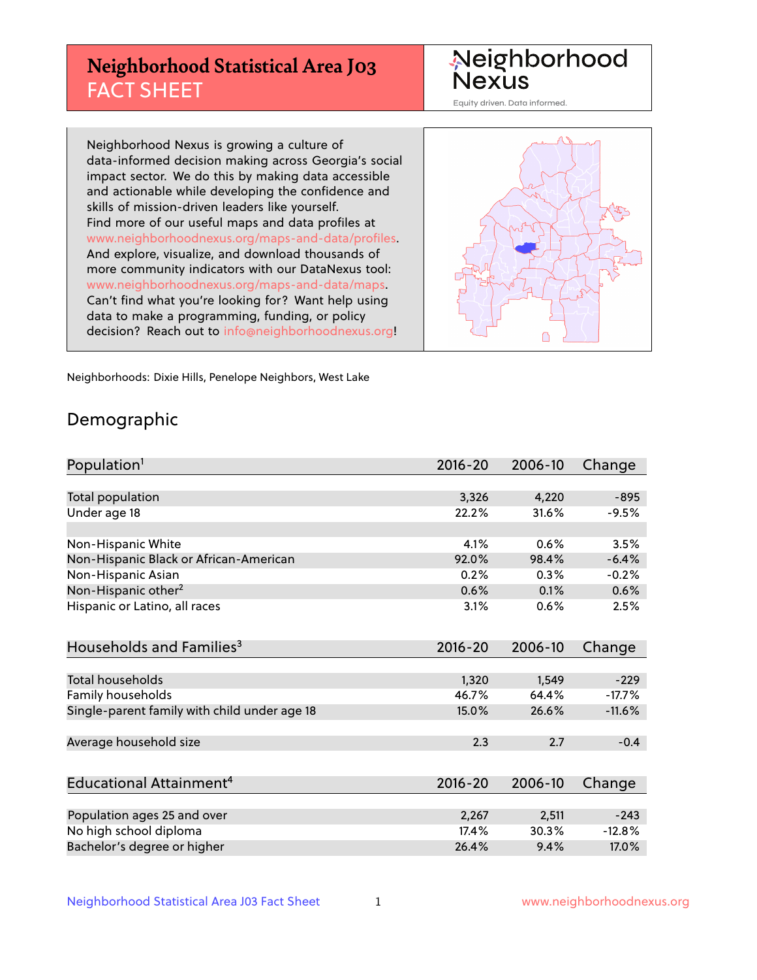## **Neighborhood Statistical Area J03** FACT SHEET

Neighborhood Nexus

Equity driven. Data informed.

Neighborhood Nexus is growing a culture of data-informed decision making across Georgia's social impact sector. We do this by making data accessible and actionable while developing the confidence and skills of mission-driven leaders like yourself. Find more of our useful maps and data profiles at www.neighborhoodnexus.org/maps-and-data/profiles. And explore, visualize, and download thousands of more community indicators with our DataNexus tool: www.neighborhoodnexus.org/maps-and-data/maps. Can't find what you're looking for? Want help using data to make a programming, funding, or policy decision? Reach out to [info@neighborhoodnexus.org!](mailto:info@neighborhoodnexus.org)



Neighborhoods: Dixie Hills, Penelope Neighbors, West Lake

### Demographic

| Population <sup>1</sup>                      | $2016 - 20$ | 2006-10 | Change   |
|----------------------------------------------|-------------|---------|----------|
|                                              |             |         |          |
| Total population                             | 3,326       | 4,220   | $-895$   |
| Under age 18                                 | 22.2%       | 31.6%   | $-9.5%$  |
|                                              |             |         |          |
| Non-Hispanic White                           | 4.1%        | 0.6%    | 3.5%     |
| Non-Hispanic Black or African-American       | 92.0%       | 98.4%   | $-6.4%$  |
| Non-Hispanic Asian                           | 0.2%        | 0.3%    | $-0.2%$  |
| Non-Hispanic other <sup>2</sup>              | 0.6%        | 0.1%    | 0.6%     |
| Hispanic or Latino, all races                | 3.1%        | 0.6%    | 2.5%     |
|                                              |             |         |          |
| Households and Families <sup>3</sup>         | $2016 - 20$ | 2006-10 | Change   |
|                                              |             |         |          |
| <b>Total households</b>                      | 1,320       | 1,549   | $-229$   |
| Family households                            | 46.7%       | 64.4%   | $-17.7%$ |
| Single-parent family with child under age 18 | 15.0%       | 26.6%   | $-11.6%$ |
|                                              |             |         |          |
| Average household size                       | 2.3         | 2.7     | $-0.4$   |
|                                              |             |         |          |
| Educational Attainment <sup>4</sup>          | 2016-20     | 2006-10 | Change   |
|                                              |             |         |          |
| Population ages 25 and over                  | 2,267       | 2,511   | $-243$   |
| No high school diploma                       | 17.4%       | 30.3%   | $-12.8%$ |
| Bachelor's degree or higher                  | 26.4%       | 9.4%    | 17.0%    |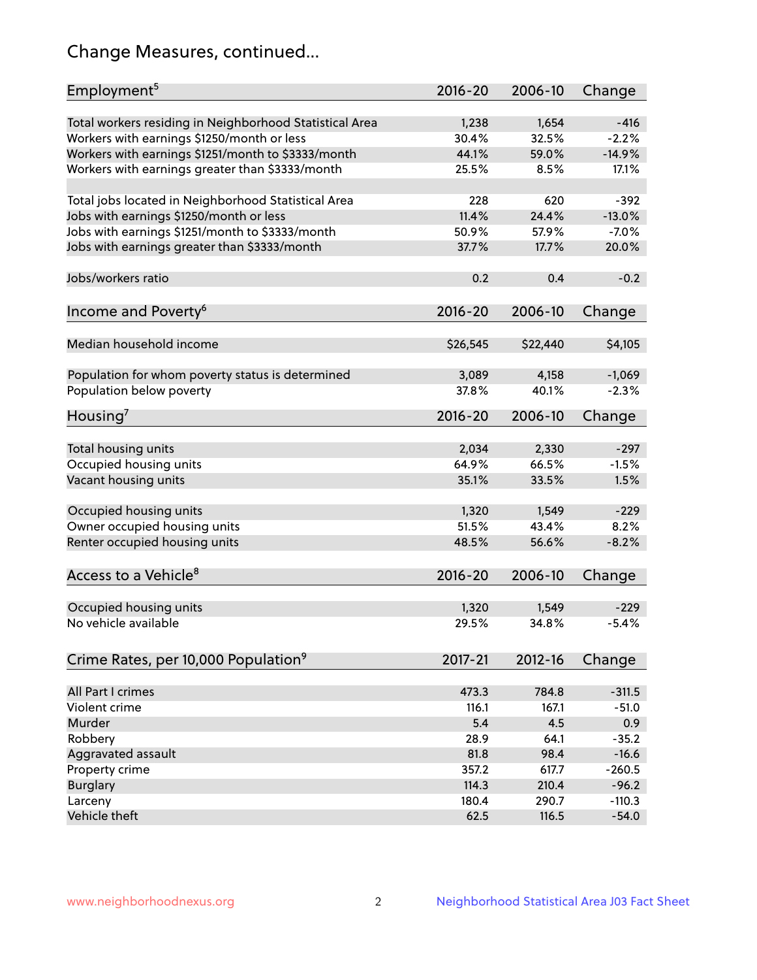## Change Measures, continued...

| Employment <sup>5</sup>                                                                               | $2016 - 20$    | 2006-10        | Change            |
|-------------------------------------------------------------------------------------------------------|----------------|----------------|-------------------|
|                                                                                                       |                |                |                   |
| Total workers residing in Neighborhood Statistical Area                                               | 1,238<br>30.4% | 1,654<br>32.5% | $-416$<br>$-2.2%$ |
| Workers with earnings \$1250/month or less                                                            | 44.1%          | 59.0%          | $-14.9%$          |
| Workers with earnings \$1251/month to \$3333/month<br>Workers with earnings greater than \$3333/month | 25.5%          | 8.5%           | 17.1%             |
|                                                                                                       |                |                |                   |
| Total jobs located in Neighborhood Statistical Area                                                   | 228            | 620            | $-392$            |
| Jobs with earnings \$1250/month or less                                                               | 11.4%          | 24.4%          | $-13.0%$          |
| Jobs with earnings \$1251/month to \$3333/month                                                       | 50.9%          | 57.9%          | $-7.0%$           |
| Jobs with earnings greater than \$3333/month                                                          | 37.7%          | 17.7%          | 20.0%             |
|                                                                                                       |                |                |                   |
| Jobs/workers ratio                                                                                    | 0.2            | 0.4            | $-0.2$            |
|                                                                                                       |                |                |                   |
| Income and Poverty <sup>6</sup>                                                                       | 2016-20        | 2006-10        | Change            |
|                                                                                                       |                |                |                   |
| Median household income                                                                               | \$26,545       | \$22,440       | \$4,105           |
|                                                                                                       |                |                |                   |
| Population for whom poverty status is determined                                                      | 3,089          | 4,158          | $-1,069$          |
| Population below poverty                                                                              | 37.8%          | 40.1%          | $-2.3%$           |
|                                                                                                       |                |                |                   |
| Housing <sup>7</sup>                                                                                  | $2016 - 20$    | 2006-10        | Change            |
|                                                                                                       |                |                |                   |
| Total housing units                                                                                   | 2,034          | 2,330          | $-297$            |
| Occupied housing units                                                                                | 64.9%          | 66.5%          | $-1.5%$           |
| Vacant housing units                                                                                  | 35.1%          | 33.5%          | 1.5%              |
|                                                                                                       |                |                |                   |
| Occupied housing units                                                                                | 1,320          | 1,549          | $-229$            |
| Owner occupied housing units                                                                          | 51.5%          | 43.4%          | 8.2%              |
| Renter occupied housing units                                                                         | 48.5%          | 56.6%          | $-8.2%$           |
|                                                                                                       |                |                |                   |
| Access to a Vehicle <sup>8</sup>                                                                      | $2016 - 20$    | 2006-10        | Change            |
|                                                                                                       |                |                |                   |
| Occupied housing units                                                                                | 1,320          | 1,549          | $-229$            |
| No vehicle available                                                                                  | 29.5%          | 34.8%          | $-5.4%$           |
|                                                                                                       |                |                |                   |
| Crime Rates, per 10,000 Population <sup>9</sup>                                                       | 2017-21        | 2012-16        | Change            |
|                                                                                                       |                |                |                   |
| All Part I crimes                                                                                     | 473.3          | 784.8          | $-311.5$          |
| Violent crime                                                                                         | 116.1          | 167.1          | $-51.0$           |
| Murder                                                                                                | 5.4            | 4.5            | 0.9               |
| Robbery                                                                                               | 28.9           | 64.1           | $-35.2$           |
| Aggravated assault                                                                                    | 81.8           | 98.4           | $-16.6$           |
| Property crime                                                                                        | 357.2          | 617.7          | $-260.5$          |
| <b>Burglary</b>                                                                                       | 114.3          | 210.4          | $-96.2$           |
| Larceny                                                                                               | 180.4          | 290.7          | $-110.3$          |
| Vehicle theft                                                                                         | 62.5           | 116.5          | $-54.0$           |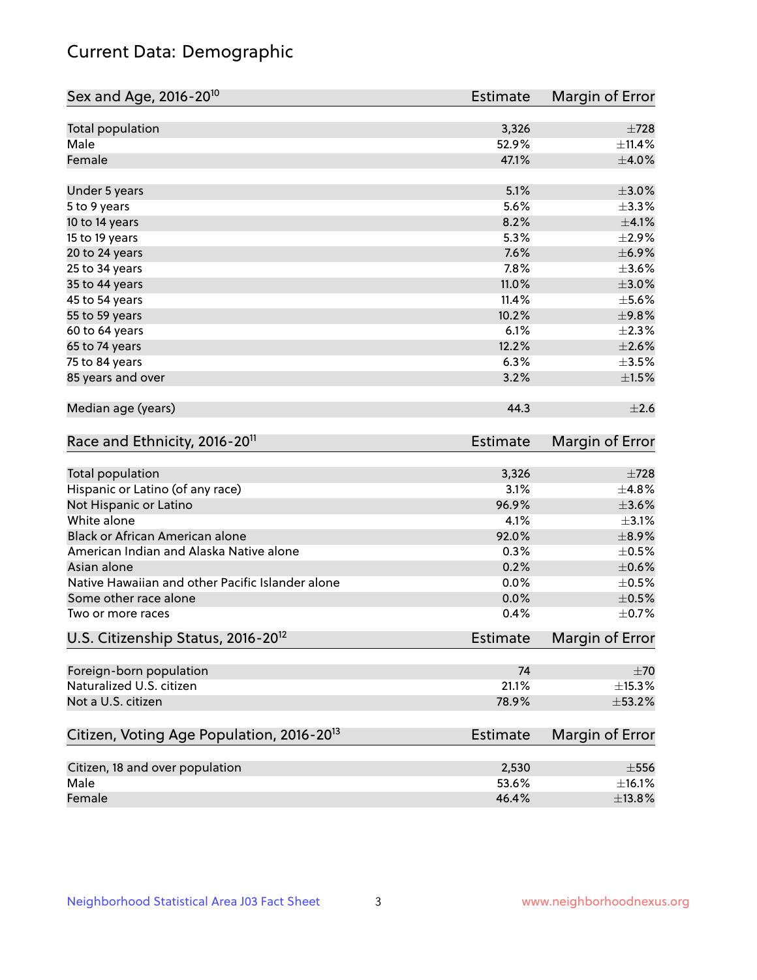## Current Data: Demographic

| Sex and Age, 2016-20 <sup>10</sup>                    | <b>Estimate</b> | Margin of Error |
|-------------------------------------------------------|-----------------|-----------------|
| Total population                                      | 3,326           | $\pm 728$       |
| Male                                                  | 52.9%           | ±11.4%          |
| Female                                                | 47.1%           | $\pm 4.0\%$     |
| Under 5 years                                         | 5.1%            | $\pm 3.0\%$     |
| 5 to 9 years                                          | 5.6%            | ±3.3%           |
| 10 to 14 years                                        | 8.2%            | $\pm 4.1\%$     |
| 15 to 19 years                                        | 5.3%            | $\pm 2.9\%$     |
| 20 to 24 years                                        | 7.6%            | $\pm$ 6.9%      |
| 25 to 34 years                                        | 7.8%            | $\pm 3.6\%$     |
| 35 to 44 years                                        | 11.0%           | $\pm 3.0\%$     |
| 45 to 54 years                                        | 11.4%           | $\pm$ 5.6%      |
| 55 to 59 years                                        | 10.2%           | ±9.8%           |
| 60 to 64 years                                        | 6.1%            | $\pm 2.3\%$     |
| 65 to 74 years                                        | 12.2%           | $\pm 2.6\%$     |
| 75 to 84 years                                        | 6.3%            | $\pm 3.5\%$     |
| 85 years and over                                     | 3.2%            | $\pm 1.5\%$     |
| Median age (years)                                    | 44.3            | $\pm 2.6$       |
| Race and Ethnicity, 2016-20 <sup>11</sup>             | <b>Estimate</b> | Margin of Error |
| Total population                                      | 3,326           | $\pm 728$       |
| Hispanic or Latino (of any race)                      | 3.1%            | ±4.8%           |
| Not Hispanic or Latino                                | 96.9%           | $\pm 3.6\%$     |
| White alone                                           | 4.1%            | $\pm$ 3.1%      |
| Black or African American alone                       | 92.0%           | $\pm$ 8.9%      |
| American Indian and Alaska Native alone               | 0.3%            | $\pm$ 0.5%      |
| Asian alone                                           | 0.2%            | $\pm$ 0.6%      |
| Native Hawaiian and other Pacific Islander alone      | 0.0%            | $\pm$ 0.5%      |
| Some other race alone                                 | 0.0%            | $\pm$ 0.5%      |
| Two or more races                                     | 0.4%            | $\pm$ 0.7%      |
| U.S. Citizenship Status, 2016-20 <sup>12</sup>        | <b>Estimate</b> | Margin of Error |
| Foreign-born population                               | 74              | ±70             |
| Naturalized U.S. citizen                              | 21.1%           | $\pm$ 15.3%     |
| Not a U.S. citizen                                    | 78.9%           | ±53.2%          |
| Citizen, Voting Age Population, 2016-20 <sup>13</sup> | <b>Estimate</b> | Margin of Error |
| Citizen, 18 and over population                       | 2,530           | $\pm 556$       |
| Male                                                  | 53.6%           | ±16.1%          |
| Female                                                | 46.4%           | ±13.8%          |
|                                                       |                 |                 |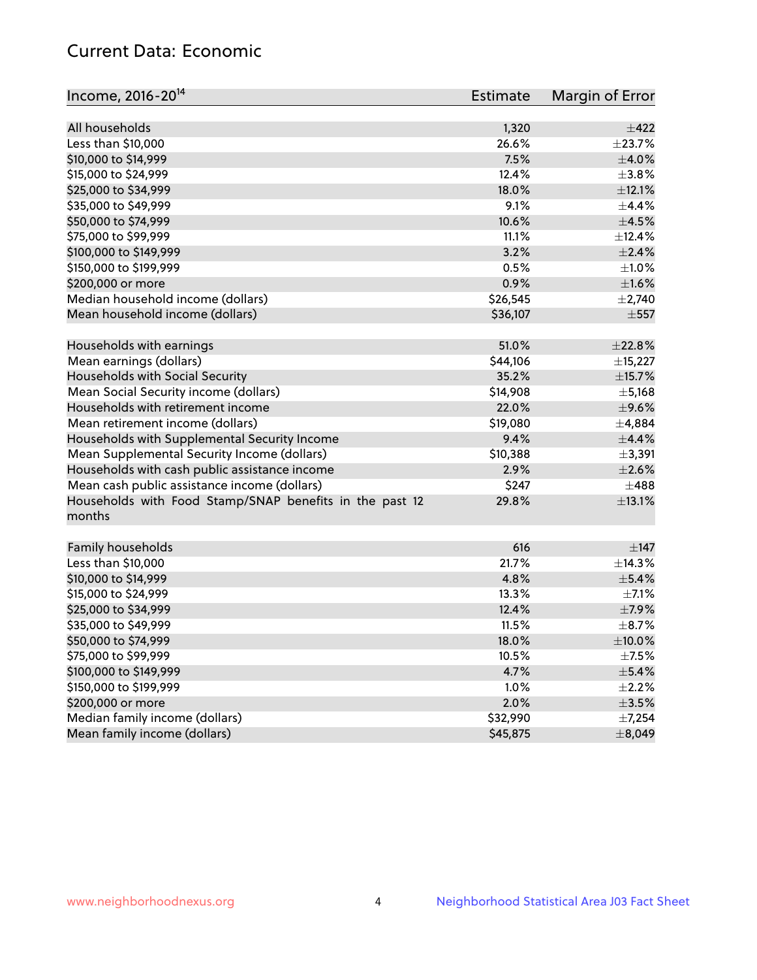## Current Data: Economic

| Income, 2016-20 <sup>14</sup>                           | Estimate | Margin of Error |
|---------------------------------------------------------|----------|-----------------|
|                                                         |          |                 |
| All households                                          | 1,320    | $\pm 422$       |
| Less than \$10,000                                      | 26.6%    | ±23.7%          |
| \$10,000 to \$14,999                                    | 7.5%     | $\pm$ 4.0%      |
| \$15,000 to \$24,999                                    | 12.4%    | ±3.8%           |
| \$25,000 to \$34,999                                    | 18.0%    | $\pm$ 12.1%     |
| \$35,000 to \$49,999                                    | 9.1%     | $\pm$ 4.4%      |
| \$50,000 to \$74,999                                    | 10.6%    | $\pm 4.5\%$     |
| \$75,000 to \$99,999                                    | 11.1%    | ±12.4%          |
| \$100,000 to \$149,999                                  | 3.2%     | $\pm 2.4\%$     |
| \$150,000 to \$199,999                                  | 0.5%     | $\pm 1.0\%$     |
| \$200,000 or more                                       | 0.9%     | ±1.6%           |
| Median household income (dollars)                       | \$26,545 | $\pm$ 2,740     |
| Mean household income (dollars)                         | \$36,107 | $\pm$ 557       |
| Households with earnings                                | 51.0%    | $\pm 22.8\%$    |
| Mean earnings (dollars)                                 | \$44,106 | ±15,227         |
| Households with Social Security                         | 35.2%    | ±15.7%          |
| Mean Social Security income (dollars)                   | \$14,908 | $\pm$ 5,168     |
| Households with retirement income                       | 22.0%    | $\pm$ 9.6%      |
| Mean retirement income (dollars)                        | \$19,080 | $\pm$ 4,884     |
| Households with Supplemental Security Income            | 9.4%     | ±4.4%           |
| Mean Supplemental Security Income (dollars)             | \$10,388 | ±3,391          |
| Households with cash public assistance income           | 2.9%     | $\pm 2.6\%$     |
| Mean cash public assistance income (dollars)            | \$247    | $\pm$ 488       |
| Households with Food Stamp/SNAP benefits in the past 12 | 29.8%    | ±13.1%          |
| months                                                  |          |                 |
| Family households                                       | 616      | $\pm$ 147       |
| Less than \$10,000                                      | 21.7%    | ±14.3%          |
| \$10,000 to \$14,999                                    | 4.8%     | $\pm$ 5.4%      |
| \$15,000 to \$24,999                                    | 13.3%    | $\pm$ 7.1%      |
| \$25,000 to \$34,999                                    | 12.4%    | $\pm$ 7.9%      |
| \$35,000 to \$49,999                                    | 11.5%    | $\pm$ 8.7%      |
|                                                         |          |                 |
| \$50,000 to \$74,999<br>\$75,000 to \$99,999            | 18.0%    | $\pm$ 10.0%     |
|                                                         | 10.5%    | $\pm$ 7.5%      |
| \$100,000 to \$149,999                                  | 4.7%     | $\pm$ 5.4%      |
| \$150,000 to \$199,999                                  | 1.0%     | $\pm 2.2\%$     |
| \$200,000 or more                                       | 2.0%     | $\pm$ 3.5%      |
| Median family income (dollars)                          | \$32,990 | ±7,254          |
| Mean family income (dollars)                            | \$45,875 | ±8,049          |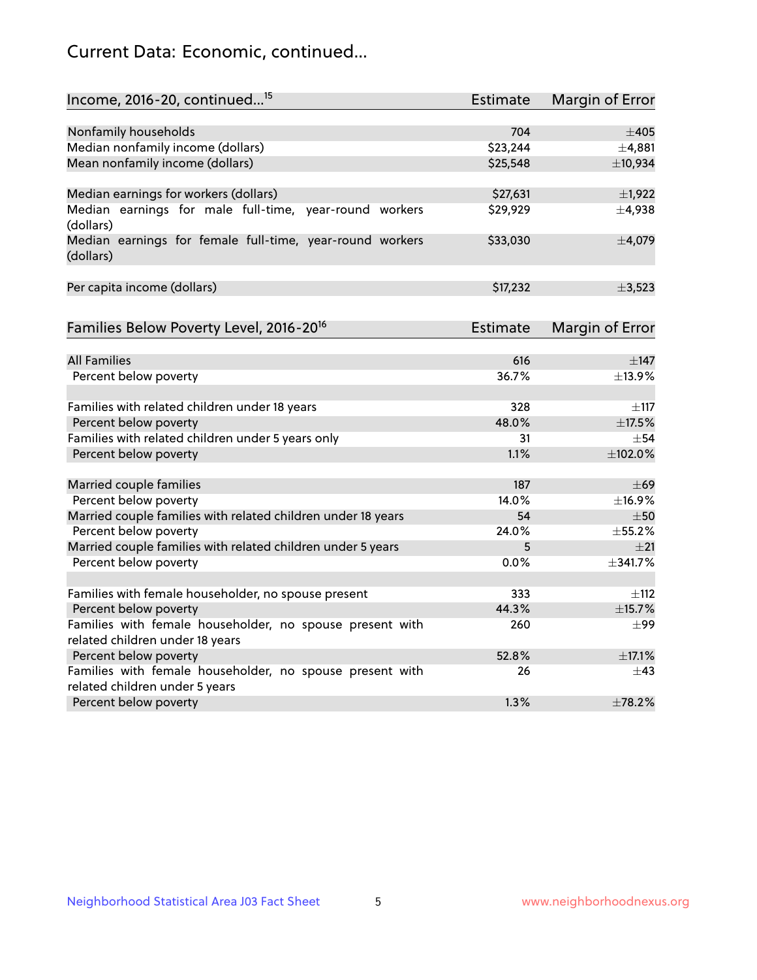## Current Data: Economic, continued...

| Income, 2016-20, continued <sup>15</sup>                                                   | <b>Estimate</b> | <b>Margin of Error</b> |
|--------------------------------------------------------------------------------------------|-----------------|------------------------|
|                                                                                            |                 |                        |
| Nonfamily households                                                                       | 704<br>\$23,244 | $\pm 405$              |
| Median nonfamily income (dollars)                                                          |                 | ±4,881                 |
| Mean nonfamily income (dollars)                                                            | \$25,548        | ±10,934                |
| Median earnings for workers (dollars)                                                      | \$27,631        | $\pm$ 1,922            |
| Median earnings for male full-time, year-round workers<br>(dollars)                        | \$29,929        | ±4,938                 |
| Median earnings for female full-time, year-round workers<br>(dollars)                      | \$33,030        | ±4,079                 |
| Per capita income (dollars)                                                                | \$17,232        | ±3,523                 |
| Families Below Poverty Level, 2016-20 <sup>16</sup>                                        | <b>Estimate</b> | <b>Margin of Error</b> |
|                                                                                            |                 |                        |
| <b>All Families</b>                                                                        | 616             | $\pm$ 147              |
| Percent below poverty                                                                      | 36.7%           | ±13.9%                 |
| Families with related children under 18 years                                              | 328             | $\pm$ 117              |
| Percent below poverty                                                                      | 48.0%           | ±17.5%                 |
| Families with related children under 5 years only                                          | 31              | $+54$                  |
| Percent below poverty                                                                      | 1.1%            | ±102.0%                |
| Married couple families                                                                    | 187             | $\pm 69$               |
| Percent below poverty                                                                      | 14.0%           | $+16.9%$               |
| Married couple families with related children under 18 years                               | 54              | $\pm 50$               |
| Percent below poverty                                                                      | 24.0%           | ±55.2%                 |
| Married couple families with related children under 5 years                                | 5               | ±21                    |
| Percent below poverty                                                                      | 0.0%            | ±341.7%                |
|                                                                                            |                 |                        |
| Families with female householder, no spouse present                                        | 333             | $\pm$ 112              |
| Percent below poverty                                                                      | 44.3%           | ±15.7%                 |
| Families with female householder, no spouse present with                                   | 260             | $\pm$ 99               |
| related children under 18 years                                                            |                 |                        |
| Percent below poverty                                                                      | 52.8%           | $\pm$ 17.1%            |
| Families with female householder, no spouse present with<br>related children under 5 years | 26              | $\pm$ 43               |
| Percent below poverty                                                                      | 1.3%            | ±78.2%                 |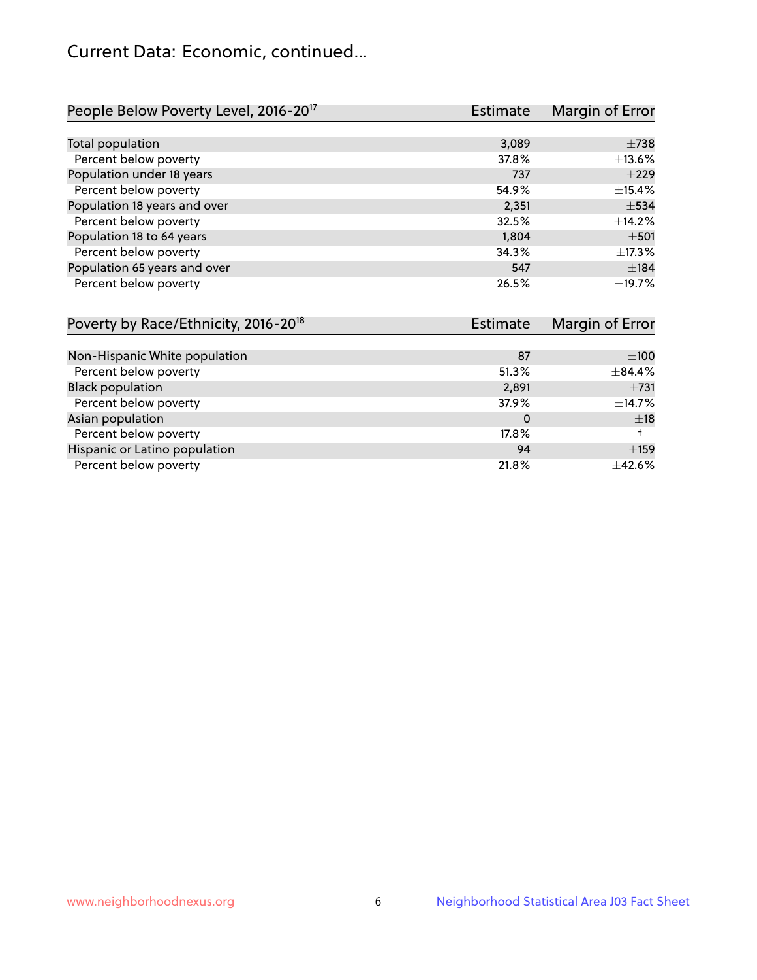## Current Data: Economic, continued...

| People Below Poverty Level, 2016-20 <sup>17</sup> | <b>Estimate</b> | Margin of Error |
|---------------------------------------------------|-----------------|-----------------|
|                                                   |                 |                 |
| Total population                                  | 3,089           | $\pm 738$       |
| Percent below poverty                             | 37.8%           | ±13.6%          |
| Population under 18 years                         | 737             | $\pm 229$       |
| Percent below poverty                             | 54.9%           | ±15.4%          |
| Population 18 years and over                      | 2,351           | $\pm$ 534       |
| Percent below poverty                             | 32.5%           | $+14.2%$        |
| Population 18 to 64 years                         | 1,804           | $\pm$ 501       |
| Percent below poverty                             | 34.3%           | ±17.3%          |
| Population 65 years and over                      | 547             | ±184            |
| Percent below poverty                             | 26.5%           | ±19.7%          |

| Poverty by Race/Ethnicity, 2016-20 <sup>18</sup><br>Estimate |       | Margin of Error |  |
|--------------------------------------------------------------|-------|-----------------|--|
|                                                              |       |                 |  |
| Non-Hispanic White population                                | 87    | $\pm 100$       |  |
| Percent below poverty                                        | 51.3% | ±84.4%          |  |
| <b>Black population</b>                                      | 2,891 | $\pm 731$       |  |
| Percent below poverty                                        | 37.9% | ±14.7%          |  |
| Asian population                                             | 0     | ±18             |  |
| Percent below poverty                                        | 17.8% |                 |  |
| Hispanic or Latino population                                | 94    | ±159            |  |
| Percent below poverty                                        | 21.8% | ±42.6%          |  |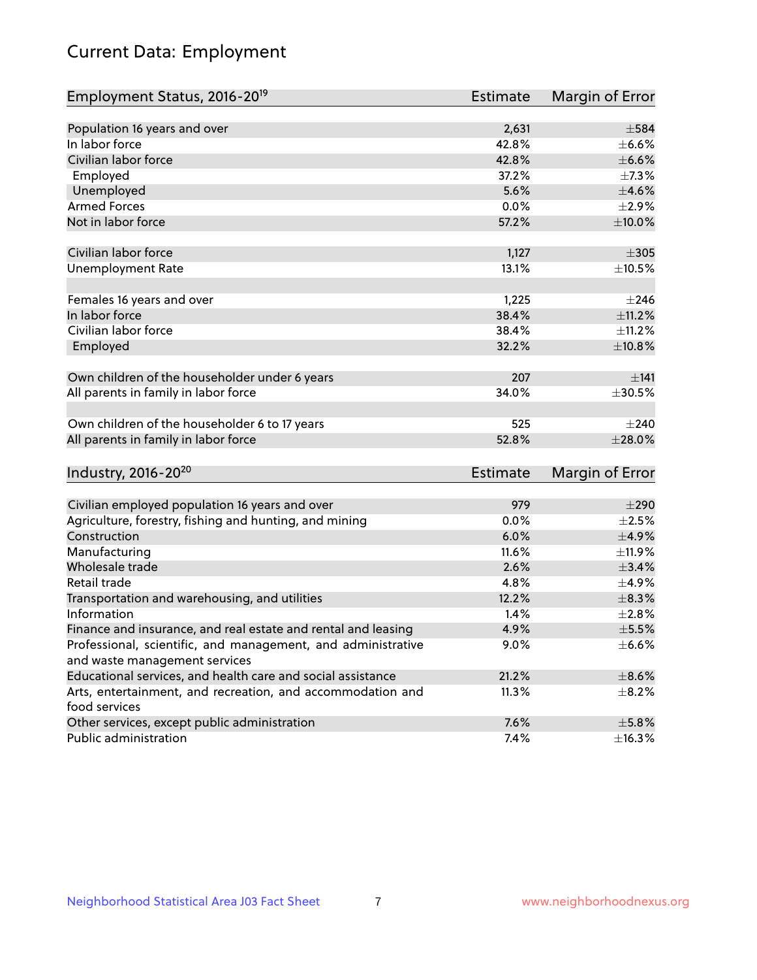# Current Data: Employment

| Employment Status, 2016-20 <sup>19</sup>                      | <b>Estimate</b> | Margin of Error |
|---------------------------------------------------------------|-----------------|-----------------|
|                                                               |                 |                 |
| Population 16 years and over                                  | 2,631           | $\pm$ 584       |
| In labor force                                                | 42.8%           | $\pm$ 6.6%      |
| Civilian labor force                                          | 42.8%           | $\pm$ 6.6%      |
| Employed                                                      | 37.2%           | $\pm$ 7.3%      |
| Unemployed                                                    | 5.6%            | $\pm 4.6\%$     |
| <b>Armed Forces</b>                                           | 0.0%            | $\pm 2.9\%$     |
| Not in labor force                                            | 57.2%           | $\pm 10.0\%$    |
| Civilian labor force                                          | 1,127           | $\pm 305$       |
| <b>Unemployment Rate</b>                                      | 13.1%           | $\pm$ 10.5%     |
|                                                               |                 |                 |
| Females 16 years and over                                     | 1,225           | $\pm 246$       |
| In labor force                                                | 38.4%           | $\pm$ 11.2%     |
| Civilian labor force                                          | 38.4%           | ±11.2%          |
| Employed                                                      | 32.2%           | ±10.8%          |
| Own children of the householder under 6 years                 | 207             | ±141            |
| All parents in family in labor force                          | 34.0%           | $\pm 30.5\%$    |
|                                                               |                 |                 |
| Own children of the householder 6 to 17 years                 | 525             | $\pm 240$       |
| All parents in family in labor force                          | 52.8%           | $\pm 28.0\%$    |
| Industry, 2016-20 <sup>20</sup>                               | Estimate        | Margin of Error |
|                                                               |                 |                 |
| Civilian employed population 16 years and over                | 979             | $\pm 290$       |
| Agriculture, forestry, fishing and hunting, and mining        | 0.0%            | $\pm 2.5\%$     |
| Construction                                                  | 6.0%            | $\pm$ 4.9%      |
| Manufacturing                                                 | 11.6%           | ±11.9%          |
| Wholesale trade                                               | 2.6%            | $\pm$ 3.4%      |
| Retail trade                                                  | 4.8%            | $\pm$ 4.9%      |
| Transportation and warehousing, and utilities                 | 12.2%           | $\pm$ 8.3%      |
| Information                                                   | 1.4%            | ±2.8%           |
| Finance and insurance, and real estate and rental and leasing | 4.9%            | $\pm$ 5.5%      |
| Professional, scientific, and management, and administrative  | 9.0%            | $\pm$ 6.6%      |
| and waste management services                                 |                 |                 |
| Educational services, and health care and social assistance   | 21.2%           | $\pm$ 8.6%      |
| Arts, entertainment, and recreation, and accommodation and    | 11.3%           | $\pm$ 8.2%      |
| food services                                                 |                 |                 |
| Other services, except public administration                  | 7.6%            | $\pm$ 5.8%      |
| Public administration                                         | 7.4%            | ±16.3%          |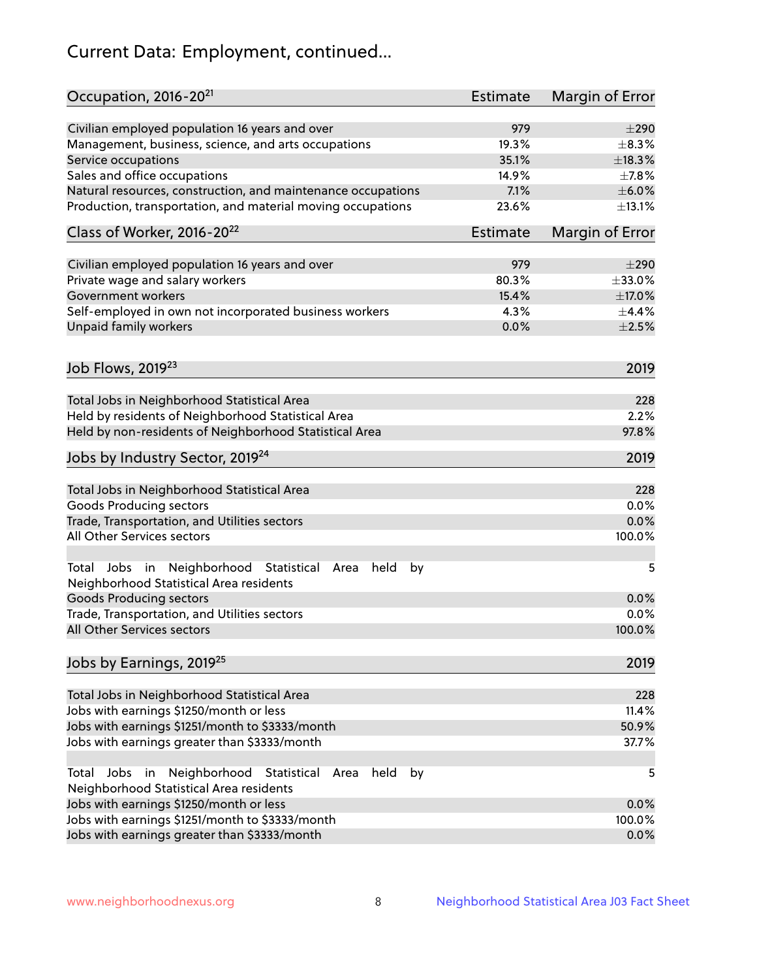# Current Data: Employment, continued...

| Occupation, 2016-20 <sup>21</sup>                                                                       | Estimate | Margin of Error |
|---------------------------------------------------------------------------------------------------------|----------|-----------------|
| Civilian employed population 16 years and over                                                          | 979      | $\pm 290$       |
| Management, business, science, and arts occupations                                                     | 19.3%    | $\pm$ 8.3%      |
| Service occupations                                                                                     | 35.1%    | ±18.3%          |
| Sales and office occupations                                                                            | 14.9%    | $\pm$ 7.8%      |
| Natural resources, construction, and maintenance occupations                                            | 7.1%     | $\pm$ 6.0%      |
| Production, transportation, and material moving occupations                                             | 23.6%    | ±13.1%          |
| Class of Worker, 2016-20 <sup>22</sup>                                                                  | Estimate | Margin of Error |
| Civilian employed population 16 years and over                                                          | 979      | $\pm 290$       |
| Private wage and salary workers                                                                         | 80.3%    | ±33.0%          |
| Government workers                                                                                      | 15.4%    | ±17.0%          |
|                                                                                                         |          |                 |
| Self-employed in own not incorporated business workers                                                  | 4.3%     | ±4.4%           |
| Unpaid family workers                                                                                   | 0.0%     | $\pm 2.5\%$     |
| Job Flows, 2019 <sup>23</sup>                                                                           |          | 2019            |
| Total Jobs in Neighborhood Statistical Area                                                             |          | 228             |
| Held by residents of Neighborhood Statistical Area                                                      |          | 2.2%            |
| Held by non-residents of Neighborhood Statistical Area                                                  |          | 97.8%           |
|                                                                                                         |          |                 |
| Jobs by Industry Sector, 2019 <sup>24</sup>                                                             |          | 2019            |
| Total Jobs in Neighborhood Statistical Area                                                             |          | 228             |
| <b>Goods Producing sectors</b>                                                                          |          | 0.0%            |
| Trade, Transportation, and Utilities sectors                                                            |          | 0.0%            |
| All Other Services sectors                                                                              |          | 100.0%          |
|                                                                                                         |          |                 |
| Total Jobs in Neighborhood Statistical<br>held<br>by<br>Area<br>Neighborhood Statistical Area residents |          | 5               |
| <b>Goods Producing sectors</b>                                                                          |          | 0.0%            |
| Trade, Transportation, and Utilities sectors                                                            |          | 0.0%            |
| All Other Services sectors                                                                              |          | 100.0%          |
| Jobs by Earnings, 2019 <sup>25</sup>                                                                    |          | 2019            |
| Total Jobs in Neighborhood Statistical Area                                                             |          | 228             |
| Jobs with earnings \$1250/month or less                                                                 |          | 11.4%           |
| Jobs with earnings \$1251/month to \$3333/month                                                         |          | 50.9%           |
| Jobs with earnings greater than \$3333/month                                                            |          | 37.7%           |
| Neighborhood Statistical<br>Jobs<br>in<br>Area<br>held<br>by<br>Total                                   |          | 5               |
| Neighborhood Statistical Area residents                                                                 |          |                 |
| Jobs with earnings \$1250/month or less                                                                 |          | 0.0%            |
| Jobs with earnings \$1251/month to \$3333/month                                                         |          | 100.0%          |
| Jobs with earnings greater than \$3333/month                                                            |          | 0.0%            |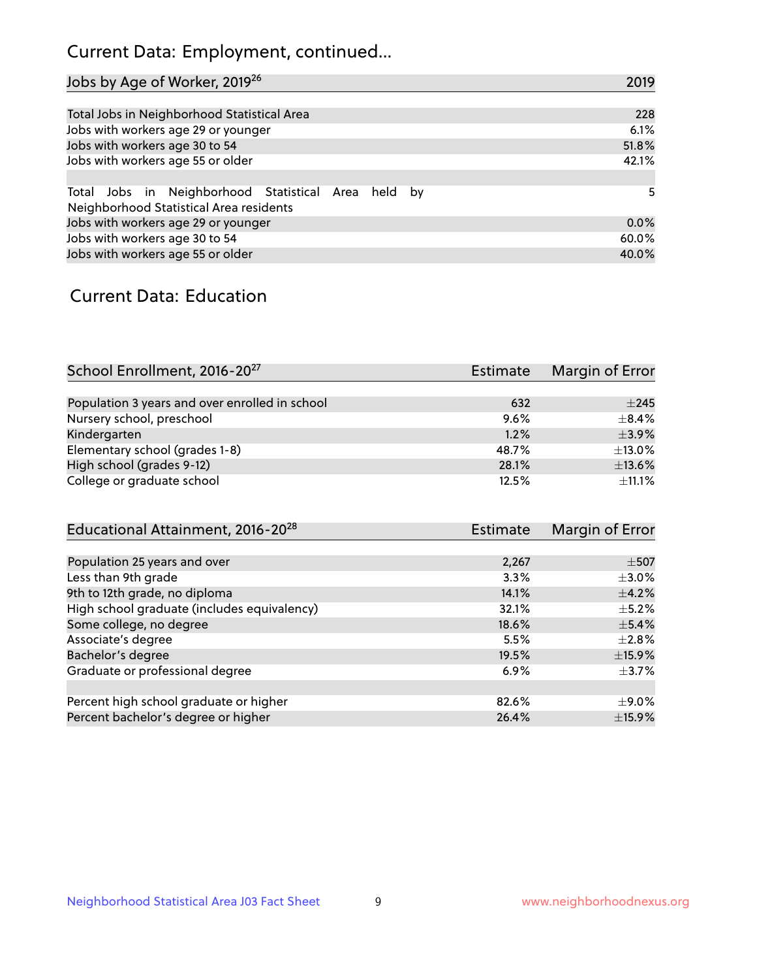## Current Data: Employment, continued...

| Jobs by Age of Worker, 2019 <sup>26</sup>                                                      | 2019  |
|------------------------------------------------------------------------------------------------|-------|
|                                                                                                |       |
| Total Jobs in Neighborhood Statistical Area                                                    | 228   |
| Jobs with workers age 29 or younger                                                            | 6.1%  |
| Jobs with workers age 30 to 54                                                                 | 51.8% |
| Jobs with workers age 55 or older                                                              | 42.1% |
|                                                                                                |       |
| Total Jobs in Neighborhood Statistical Area held by<br>Neighborhood Statistical Area residents | 5     |
| Jobs with workers age 29 or younger                                                            | 0.0%  |
| Jobs with workers age 30 to 54                                                                 | 60.0% |
| Jobs with workers age 55 or older                                                              | 40.0% |

### Current Data: Education

| School Enrollment, 2016-20 <sup>27</sup>       | Estimate | Margin of Error |
|------------------------------------------------|----------|-----------------|
|                                                |          |                 |
| Population 3 years and over enrolled in school | 632      | ±245            |
| Nursery school, preschool                      | 9.6%     | $+8.4%$         |
| Kindergarten                                   | 1.2%     | $\pm$ 3.9%      |
| Elementary school (grades 1-8)                 | 48.7%    | $\pm$ 13.0%     |
| High school (grades 9-12)                      | 28.1%    | ±13.6%          |
| College or graduate school                     | 12.5%    | $\pm$ 11.1%     |

| Educational Attainment, 2016-20 <sup>28</sup> | Estimate | Margin of Error |
|-----------------------------------------------|----------|-----------------|
|                                               |          |                 |
| Population 25 years and over                  | 2,267    | $\pm$ 507       |
| Less than 9th grade                           | 3.3%     | $\pm$ 3.0%      |
| 9th to 12th grade, no diploma                 | 14.1%    | $\pm$ 4.2%      |
| High school graduate (includes equivalency)   | 32.1%    | $\pm$ 5.2%      |
| Some college, no degree                       | 18.6%    | $\pm$ 5.4%      |
| Associate's degree                            | 5.5%     | $\pm 2.8\%$     |
| Bachelor's degree                             | 19.5%    | ±15.9%          |
| Graduate or professional degree               | 6.9%     | $\pm$ 3.7%      |
|                                               |          |                 |
| Percent high school graduate or higher        | 82.6%    | $\pm$ 9.0%      |
| Percent bachelor's degree or higher           | 26.4%    | $\pm$ 15.9%     |
|                                               |          |                 |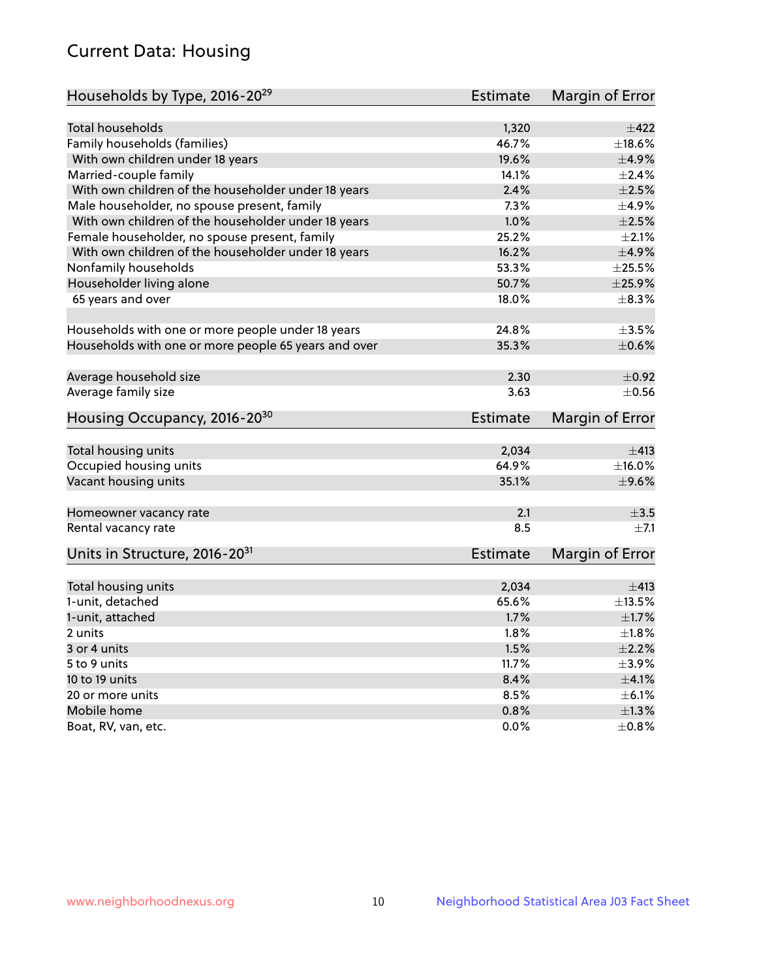## Current Data: Housing

| Households by Type, 2016-20 <sup>29</sup>            | <b>Estimate</b> | Margin of Error           |
|------------------------------------------------------|-----------------|---------------------------|
|                                                      |                 |                           |
| Total households                                     | 1,320           | $+422$                    |
| Family households (families)                         | 46.7%           | $\pm$ 18.6%               |
| With own children under 18 years                     | 19.6%           | $\pm$ 4.9%                |
| Married-couple family                                | 14.1%           | $\pm 2.4\%$               |
| With own children of the householder under 18 years  | 2.4%            | $\pm 2.5\%$               |
| Male householder, no spouse present, family          | 7.3%            | $\pm$ 4.9%                |
| With own children of the householder under 18 years  | 1.0%            | $\pm 2.5\%$               |
| Female householder, no spouse present, family        | 25.2%           | $\pm 2.1\%$               |
| With own children of the householder under 18 years  | 16.2%           | ±4.9%                     |
| Nonfamily households                                 | 53.3%           | $\pm 25.5\%$              |
| Householder living alone                             | 50.7%           | $\pm$ 25.9%               |
| 65 years and over                                    | 18.0%           | $\pm$ 8.3%                |
|                                                      |                 |                           |
| Households with one or more people under 18 years    | 24.8%           | $\pm 3.5\%$               |
| Households with one or more people 65 years and over | 35.3%           | $\pm$ 0.6%                |
| Average household size                               | 2.30            | $\pm$ 0.92                |
| Average family size                                  | 3.63            | $\pm$ 0.56                |
| Housing Occupancy, 2016-20 <sup>30</sup>             | <b>Estimate</b> | Margin of Error           |
|                                                      | 2,034           | ±413                      |
| Total housing units                                  | 64.9%           |                           |
| Occupied housing units                               | 35.1%           | $\pm$ 16.0%<br>$\pm$ 9.6% |
| Vacant housing units                                 |                 |                           |
| Homeowner vacancy rate                               | 2.1             | $\pm 3.5$                 |
| Rental vacancy rate                                  | 8.5             | $\pm$ 7.1                 |
| Units in Structure, 2016-20 <sup>31</sup>            | Estimate        | Margin of Error           |
| Total housing units                                  | 2,034           | $\pm$ 413                 |
| 1-unit, detached                                     | 65.6%           | ±13.5%                    |
|                                                      |                 |                           |
| 1-unit, attached                                     | 1.7%            | $\pm1.7\%$                |
| 2 units                                              | 1.8%            | $\pm 1.8\%$               |
| 3 or 4 units                                         | 1.5%            | $\pm 2.2\%$               |
| 5 to 9 units                                         | 11.7%           | $\pm$ 3.9%                |
| 10 to 19 units                                       | 8.4%            | $\pm 4.1\%$               |
| 20 or more units                                     | 8.5%            | $\pm$ 6.1%                |
| Mobile home                                          | 0.8%            | $\pm 1.3\%$               |
| Boat, RV, van, etc.                                  | $0.0\%$         | $\pm 0.8\%$               |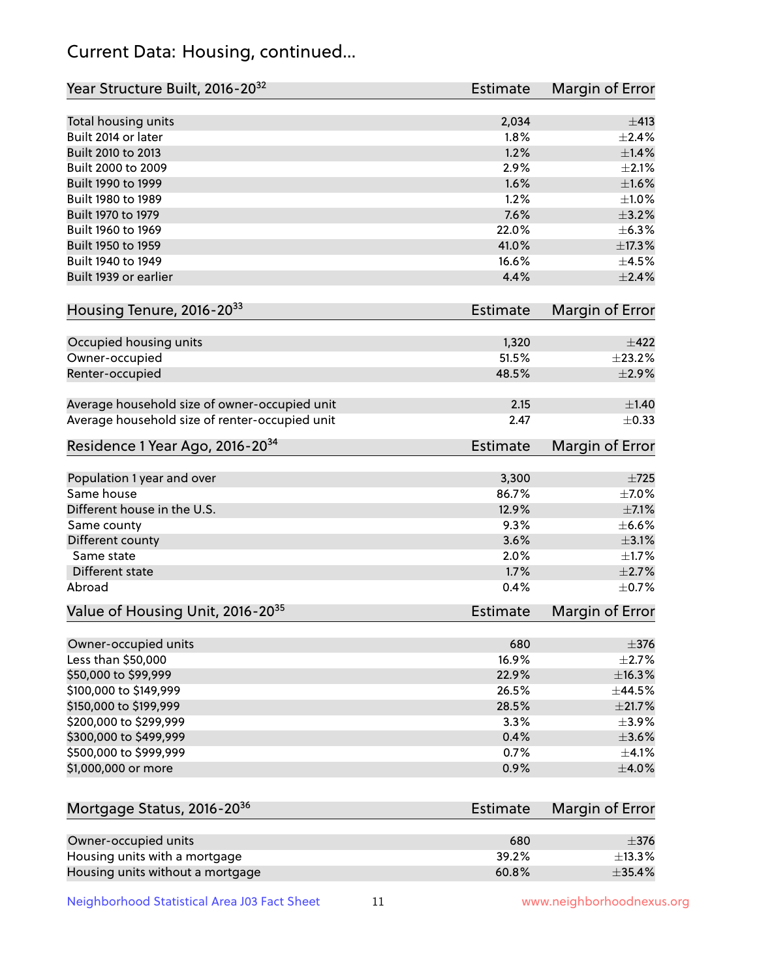## Current Data: Housing, continued...

| Year Structure Built, 2016-20 <sup>32</sup>    | <b>Estimate</b> | <b>Margin of Error</b> |
|------------------------------------------------|-----------------|------------------------|
| Total housing units                            | 2,034           | ±413                   |
| Built 2014 or later                            | 1.8%            | $\pm 2.4\%$            |
| Built 2010 to 2013                             | 1.2%            | $\pm$ 1.4%             |
| Built 2000 to 2009                             | 2.9%            | $\pm 2.1\%$            |
| Built 1990 to 1999                             | 1.6%            | $\pm1.6\%$             |
| Built 1980 to 1989                             | 1.2%            | $\pm1.0\%$             |
| Built 1970 to 1979                             | 7.6%            | $\pm$ 3.2%             |
| Built 1960 to 1969                             | 22.0%           | ±6.3%                  |
| Built 1950 to 1959                             | 41.0%           | ±17.3%                 |
| Built 1940 to 1949                             | 16.6%           | $\pm 4.5\%$            |
| Built 1939 or earlier                          | 4.4%            | $\pm 2.4\%$            |
| Housing Tenure, 2016-2033                      | Estimate        | Margin of Error        |
| Occupied housing units                         | 1,320           | $\pm$ 422              |
| Owner-occupied                                 | 51.5%           | ±23.2%                 |
| Renter-occupied                                | 48.5%           | $\pm 2.9\%$            |
| Average household size of owner-occupied unit  | 2.15            | ±1.40                  |
| Average household size of renter-occupied unit | 2.47            | $\pm$ 0.33             |
| Residence 1 Year Ago, 2016-20 <sup>34</sup>    | <b>Estimate</b> | <b>Margin of Error</b> |
| Population 1 year and over                     | 3,300           | $\pm 725$              |
| Same house                                     | 86.7%           | $\pm$ 7.0%             |
| Different house in the U.S.                    | 12.9%           | $\pm$ 7.1%             |
| Same county                                    | 9.3%            | $\pm$ 6.6%             |
| Different county                               | 3.6%            | $\pm$ 3.1%             |
| Same state                                     | 2.0%            | $\pm1.7\%$             |
| Different state                                | 1.7%            | $\pm 2.7\%$            |
| Abroad                                         | 0.4%            | $\pm$ 0.7%             |
| Value of Housing Unit, 2016-20 <sup>35</sup>   | <b>Estimate</b> | Margin of Error        |
| Owner-occupied units                           | 680             | $\pm$ 376              |
| Less than \$50,000                             | 16.9%           | $\pm 2.7\%$            |
| \$50,000 to \$99,999                           | 22.9%           | ±16.3%                 |
| \$100,000 to \$149,999                         | 26.5%           | ±44.5%                 |
| \$150,000 to \$199,999                         | 28.5%           | $\pm 21.7\%$           |
| \$200,000 to \$299,999                         | 3.3%            | $\pm$ 3.9%             |
| \$300,000 to \$499,999                         | 0.4%            | $\pm 3.6\%$            |
| \$500,000 to \$999,999                         | 0.7%            | $\pm$ 4.1%             |
| \$1,000,000 or more                            | 0.9%            | $\pm 4.0\%$            |
| Mortgage Status, 2016-20 <sup>36</sup>         | Estimate        | Margin of Error        |
| Owner-occupied units                           | 680             | $\pm$ 376              |
| Housing units with a mortgage                  | 39.2%           | ±13.3%                 |
|                                                |                 |                        |

Housing units without a mortgage  $\pm 35.4\%$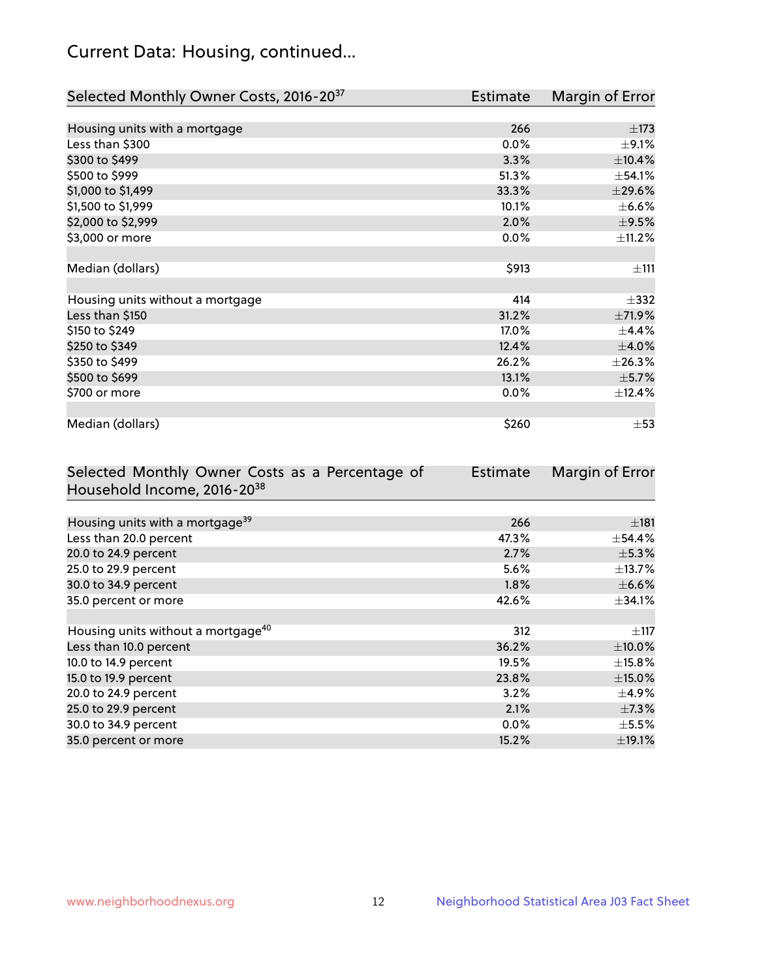## Current Data: Housing, continued...

| Selected Monthly Owner Costs, 2016-20 <sup>37</sup> | Estimate | Margin of Error |
|-----------------------------------------------------|----------|-----------------|
|                                                     |          |                 |
| Housing units with a mortgage                       | 266      | $\pm$ 173       |
| Less than \$300                                     | 0.0%     | $\pm$ 9.1%      |
| \$300 to \$499                                      | 3.3%     | $\pm$ 10.4%     |
| \$500 to \$999                                      | 51.3%    | ±54.1%          |
| \$1,000 to \$1,499                                  | 33.3%    | $\pm 29.6\%$    |
| \$1,500 to \$1,999                                  | 10.1%    | $\pm$ 6.6%      |
| \$2,000 to \$2,999                                  | 2.0%     | $\pm$ 9.5%      |
| \$3,000 or more                                     | 0.0%     | ±11.2%          |
|                                                     |          |                 |
| Median (dollars)                                    | \$913    | ±111            |
|                                                     |          |                 |
| Housing units without a mortgage                    | 414      | $\pm$ 332       |
| Less than \$150                                     | 31.2%    | $\pm$ 71.9%     |
| \$150 to \$249                                      | 17.0%    | $\pm$ 4.4%      |
| \$250 to \$349                                      | 12.4%    | $\pm 4.0\%$     |
| \$350 to \$499                                      | 26.2%    | ±26.3%          |
| \$500 to \$699                                      | 13.1%    | $\pm$ 5.7%      |
| \$700 or more                                       | 0.0%     | ±12.4%          |
|                                                     |          |                 |
| Median (dollars)                                    | \$260    | $\pm$ 53        |

| Selected Monthly Owner Costs as a Percentage of | Estimate | Margin of Error |
|-------------------------------------------------|----------|-----------------|
| Household Income, 2016-20 <sup>38</sup>         |          |                 |
|                                                 |          |                 |
| Housing units with a mortgage <sup>39</sup>     | 266      | $\pm$ 181       |
| Less than 20.0 percent                          | 47.3%    | $\pm$ 54.4%     |
| 20.0 to 24.9 percent                            | 2.7%     | $\pm$ 5.3%      |
| 25.0 to 29.9 percent                            | 5.6%     | $\pm$ 13.7%     |
| 30.0 to 34.9 percent                            | $1.8\%$  | $\pm$ 6.6%      |
| 35.0 percent or more                            | 42.6%    | $\pm$ 34.1%     |
|                                                 |          |                 |
| Housing units without a mortgage <sup>40</sup>  | 312      | $\pm$ 117       |
| Less than 10.0 percent                          | 36.2%    | $\pm$ 10.0%     |
| 10.0 to 14.9 percent                            | 19.5%    | $\pm$ 15.8%     |
| 15.0 to 19.9 percent                            | 23.8%    | $\pm$ 15.0%     |
| 20.0 to 24.9 percent                            | 3.2%     | $\pm$ 4.9%      |
| 25.0 to 29.9 percent                            | 2.1%     | $\pm$ 7.3%      |
| 30.0 to 34.9 percent                            | $0.0\%$  | $\pm$ 5.5%      |
| 35.0 percent or more                            | 15.2%    | ±19.1%          |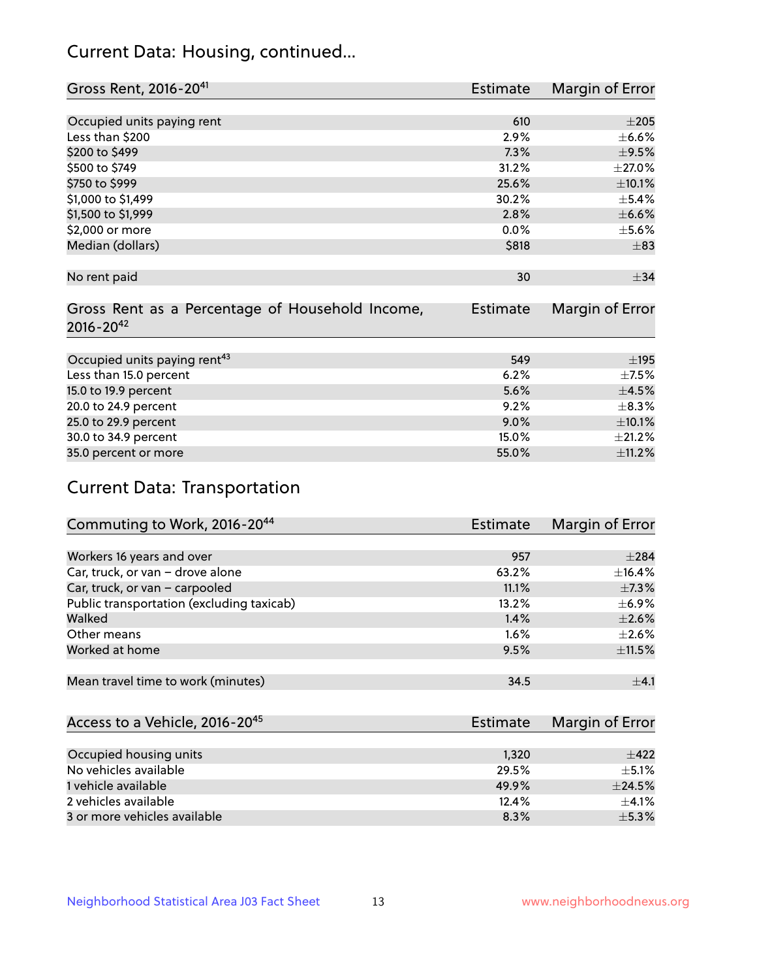## Current Data: Housing, continued...

| Gross Rent, 2016-20 <sup>41</sup>               | Estimate        | Margin of Error |
|-------------------------------------------------|-----------------|-----------------|
|                                                 |                 |                 |
| Occupied units paying rent                      | 610             | $\pm 205$       |
| Less than \$200                                 | 2.9%            | $\pm$ 6.6%      |
| \$200 to \$499                                  | 7.3%            | $\pm$ 9.5%      |
| \$500 to \$749                                  | 31.2%           | $\pm 27.0\%$    |
| \$750 to \$999                                  | 25.6%           | $\pm 10.1\%$    |
| \$1,000 to \$1,499                              | 30.2%           | $\pm$ 5.4%      |
| \$1,500 to \$1,999                              | 2.8%            | $\pm$ 6.6%      |
| \$2,000 or more                                 | 0.0%            | $\pm$ 5.6%      |
| Median (dollars)                                | \$818           | $\pm$ 83        |
|                                                 |                 |                 |
| No rent paid                                    | 30              | $\pm$ 34        |
|                                                 |                 |                 |
| Gross Rent as a Percentage of Household Income, | <b>Estimate</b> | Margin of Error |
| $2016 - 20^{42}$                                |                 |                 |
|                                                 |                 |                 |
| Occupied units paying rent <sup>43</sup>        | 549             | $\pm$ 195       |
| Less than 15.0 percent                          | 6.2%            | $\pm$ 7.5%      |
| 15.0 to 19.9 percent                            | 5.6%            | $\pm 4.5\%$     |
| 20.0 to 24.9 percent                            | 9.2%            | $\pm$ 8.3%      |
| 25.0 to 29.9 percent                            | 9.0%            | $\pm 10.1\%$    |
| 30.0 to 34.9 percent                            | 15.0%           | ±21.2%          |
| 35.0 percent or more                            | 55.0%           | ±11.2%          |

# Current Data: Transportation

| Commuting to Work, 2016-20 <sup>44</sup>  | <b>Estimate</b> | Margin of Error |
|-------------------------------------------|-----------------|-----------------|
|                                           |                 |                 |
| Workers 16 years and over                 | 957             | $\pm 284$       |
| Car, truck, or van - drove alone          | 63.2%           | $\pm$ 16.4%     |
| Car, truck, or van - carpooled            | 11.1%           | $\pm$ 7.3%      |
| Public transportation (excluding taxicab) | 13.2%           | $\pm$ 6.9%      |
| Walked                                    | 1.4%            | $\pm 2.6\%$     |
| Other means                               | 1.6%            | $\pm 2.6\%$     |
| Worked at home                            | 9.5%            | $\pm$ 11.5%     |
|                                           |                 |                 |
| Mean travel time to work (minutes)        | 34.5            | $+4.1$          |

| Access to a Vehicle, 2016-20 <sup>45</sup> | Estimate | Margin of Error |
|--------------------------------------------|----------|-----------------|
|                                            |          |                 |
| Occupied housing units                     | 1,320    | $+422$          |
| No vehicles available                      | 29.5%    | $\pm$ 5.1%      |
| 1 vehicle available                        | 49.9%    | $+24.5%$        |
| 2 vehicles available                       | 12.4%    | $+4.1%$         |
| 3 or more vehicles available               | 8.3%     | $+5.3%$         |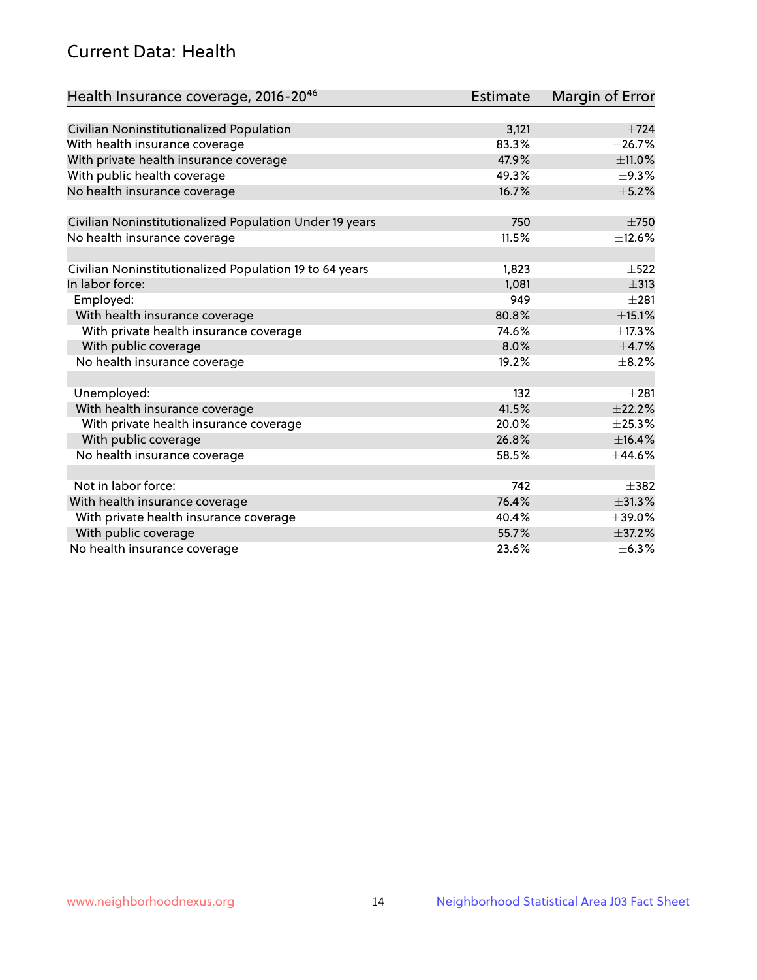## Current Data: Health

| Health Insurance coverage, 2016-2046                    | <b>Estimate</b> | <b>Margin of Error</b> |
|---------------------------------------------------------|-----------------|------------------------|
|                                                         |                 |                        |
| Civilian Noninstitutionalized Population                | 3,121           | $\pm 724$              |
| With health insurance coverage                          | 83.3%           | ±26.7%                 |
| With private health insurance coverage                  | 47.9%           | $\pm$ 11.0%            |
| With public health coverage                             | 49.3%           | $\pm$ 9.3%             |
| No health insurance coverage                            | 16.7%           | $\pm$ 5.2%             |
| Civilian Noninstitutionalized Population Under 19 years | 750             | $\pm 750$              |
| No health insurance coverage                            | 11.5%           | ±12.6%                 |
|                                                         |                 |                        |
| Civilian Noninstitutionalized Population 19 to 64 years | 1,823           | $\pm$ 522              |
| In labor force:                                         | 1,081           | $\pm$ 313              |
| Employed:                                               | 949             | $\pm 281$              |
| With health insurance coverage                          | 80.8%           | $\pm$ 15.1%            |
| With private health insurance coverage                  | 74.6%           | ±17.3%                 |
| With public coverage                                    | 8.0%            | $\pm$ 4.7%             |
| No health insurance coverage                            | 19.2%           | $\pm$ 8.2%             |
|                                                         |                 |                        |
| Unemployed:                                             | 132             | $+281$                 |
| With health insurance coverage                          | 41.5%           | ±22.2%                 |
| With private health insurance coverage                  | 20.0%           | ±25.3%                 |
| With public coverage                                    | 26.8%           | ±16.4%                 |
| No health insurance coverage                            | 58.5%           | $\pm$ 44.6%            |
| Not in labor force:                                     | 742             | $+382$                 |
| With health insurance coverage                          | 76.4%           | $\pm 31.3\%$           |
| With private health insurance coverage                  | 40.4%           | $\pm$ 39.0%            |
| With public coverage                                    | 55.7%           | ±37.2%                 |
| No health insurance coverage                            | 23.6%           | $\pm$ 6.3%             |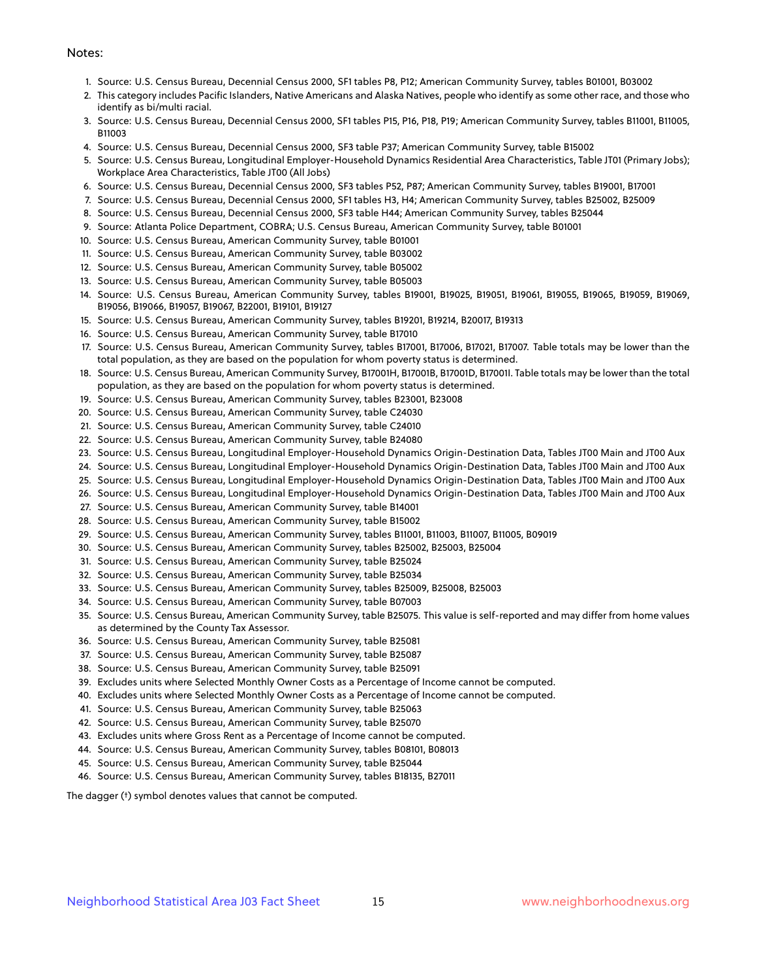#### Notes:

- 1. Source: U.S. Census Bureau, Decennial Census 2000, SF1 tables P8, P12; American Community Survey, tables B01001, B03002
- 2. This category includes Pacific Islanders, Native Americans and Alaska Natives, people who identify as some other race, and those who identify as bi/multi racial.
- 3. Source: U.S. Census Bureau, Decennial Census 2000, SF1 tables P15, P16, P18, P19; American Community Survey, tables B11001, B11005, B11003
- 4. Source: U.S. Census Bureau, Decennial Census 2000, SF3 table P37; American Community Survey, table B15002
- 5. Source: U.S. Census Bureau, Longitudinal Employer-Household Dynamics Residential Area Characteristics, Table JT01 (Primary Jobs); Workplace Area Characteristics, Table JT00 (All Jobs)
- 6. Source: U.S. Census Bureau, Decennial Census 2000, SF3 tables P52, P87; American Community Survey, tables B19001, B17001
- 7. Source: U.S. Census Bureau, Decennial Census 2000, SF1 tables H3, H4; American Community Survey, tables B25002, B25009
- 8. Source: U.S. Census Bureau, Decennial Census 2000, SF3 table H44; American Community Survey, tables B25044
- 9. Source: Atlanta Police Department, COBRA; U.S. Census Bureau, American Community Survey, table B01001
- 10. Source: U.S. Census Bureau, American Community Survey, table B01001
- 11. Source: U.S. Census Bureau, American Community Survey, table B03002
- 12. Source: U.S. Census Bureau, American Community Survey, table B05002
- 13. Source: U.S. Census Bureau, American Community Survey, table B05003
- 14. Source: U.S. Census Bureau, American Community Survey, tables B19001, B19025, B19051, B19061, B19055, B19065, B19059, B19069, B19056, B19066, B19057, B19067, B22001, B19101, B19127
- 15. Source: U.S. Census Bureau, American Community Survey, tables B19201, B19214, B20017, B19313
- 16. Source: U.S. Census Bureau, American Community Survey, table B17010
- 17. Source: U.S. Census Bureau, American Community Survey, tables B17001, B17006, B17021, B17007. Table totals may be lower than the total population, as they are based on the population for whom poverty status is determined.
- 18. Source: U.S. Census Bureau, American Community Survey, B17001H, B17001B, B17001D, B17001I. Table totals may be lower than the total population, as they are based on the population for whom poverty status is determined.
- 19. Source: U.S. Census Bureau, American Community Survey, tables B23001, B23008
- 20. Source: U.S. Census Bureau, American Community Survey, table C24030
- 21. Source: U.S. Census Bureau, American Community Survey, table C24010
- 22. Source: U.S. Census Bureau, American Community Survey, table B24080
- 23. Source: U.S. Census Bureau, Longitudinal Employer-Household Dynamics Origin-Destination Data, Tables JT00 Main and JT00 Aux
- 24. Source: U.S. Census Bureau, Longitudinal Employer-Household Dynamics Origin-Destination Data, Tables JT00 Main and JT00 Aux
- 25. Source: U.S. Census Bureau, Longitudinal Employer-Household Dynamics Origin-Destination Data, Tables JT00 Main and JT00 Aux
- 26. Source: U.S. Census Bureau, Longitudinal Employer-Household Dynamics Origin-Destination Data, Tables JT00 Main and JT00 Aux
- 27. Source: U.S. Census Bureau, American Community Survey, table B14001
- 28. Source: U.S. Census Bureau, American Community Survey, table B15002
- 29. Source: U.S. Census Bureau, American Community Survey, tables B11001, B11003, B11007, B11005, B09019
- 30. Source: U.S. Census Bureau, American Community Survey, tables B25002, B25003, B25004
- 31. Source: U.S. Census Bureau, American Community Survey, table B25024
- 32. Source: U.S. Census Bureau, American Community Survey, table B25034
- 33. Source: U.S. Census Bureau, American Community Survey, tables B25009, B25008, B25003
- 34. Source: U.S. Census Bureau, American Community Survey, table B07003
- 35. Source: U.S. Census Bureau, American Community Survey, table B25075. This value is self-reported and may differ from home values as determined by the County Tax Assessor.
- 36. Source: U.S. Census Bureau, American Community Survey, table B25081
- 37. Source: U.S. Census Bureau, American Community Survey, table B25087
- 38. Source: U.S. Census Bureau, American Community Survey, table B25091
- 39. Excludes units where Selected Monthly Owner Costs as a Percentage of Income cannot be computed.
- 40. Excludes units where Selected Monthly Owner Costs as a Percentage of Income cannot be computed.
- 41. Source: U.S. Census Bureau, American Community Survey, table B25063
- 42. Source: U.S. Census Bureau, American Community Survey, table B25070
- 43. Excludes units where Gross Rent as a Percentage of Income cannot be computed.
- 44. Source: U.S. Census Bureau, American Community Survey, tables B08101, B08013
- 45. Source: U.S. Census Bureau, American Community Survey, table B25044
- 46. Source: U.S. Census Bureau, American Community Survey, tables B18135, B27011

The dagger (†) symbol denotes values that cannot be computed.